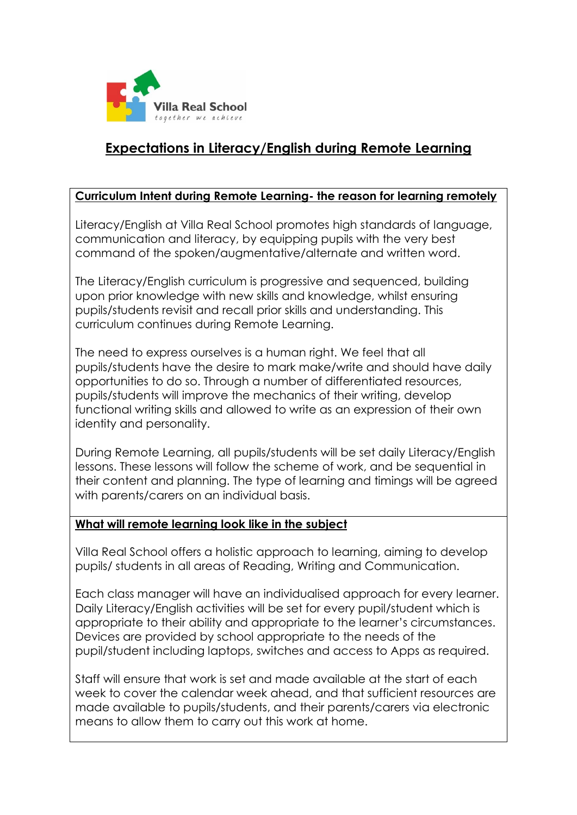

# **Expectations in Literacy/English during Remote Learning**

#### **Curriculum Intent during Remote Learning- the reason for learning remotely**

Literacy/English at Villa Real School promotes high standards of language, communication and literacy, by equipping pupils with the very best command of the spoken/augmentative/alternate and written word.

The Literacy/English curriculum is progressive and sequenced, building upon prior knowledge with new skills and knowledge, whilst ensuring pupils/students revisit and recall prior skills and understanding. This curriculum continues during Remote Learning.

The need to express ourselves is a human right. We feel that all pupils/students have the desire to mark make/write and should have daily opportunities to do so. Through a number of differentiated resources, pupils/students will improve the mechanics of their writing, develop functional writing skills and allowed to write as an expression of their own identity and personality.

During Remote Learning, all pupils/students will be set daily Literacy/English lessons. These lessons will follow the scheme of work, and be sequential in their content and planning. The type of learning and timings will be agreed with parents/carers on an individual basis.

## **What will remote learning look like in the subject**

Villa Real School offers a holistic approach to learning, aiming to develop pupils/ students in all areas of Reading, Writing and Communication.

Each class manager will have an individualised approach for every learner. Daily Literacy/English activities will be set for every pupil/student which is appropriate to their ability and appropriate to the learner's circumstances. Devices are provided by school appropriate to the needs of the pupil/student including laptops, switches and access to Apps as required.

Staff will ensure that work is set and made available at the start of each week to cover the calendar week ahead, and that sufficient resources are made available to pupils/students, and their parents/carers via electronic means to allow them to carry out this work at home.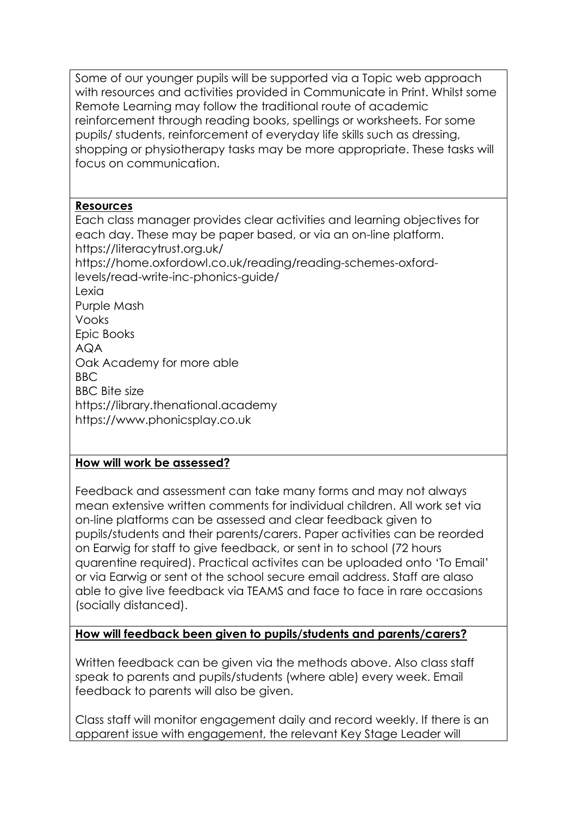Some of our younger pupils will be supported via a Topic web approach with resources and activities provided in Communicate in Print. Whilst some Remote Learning may follow the traditional route of academic reinforcement through reading books, spellings or worksheets. For some pupils/ students, reinforcement of everyday life skills such as dressing, shopping or physiotherapy tasks may be more appropriate. These tasks will focus on communication.

## **Resources**

Each class manager provides clear activities and learning objectives for each day. These may be paper based, or via an on-line platform. <https://literacytrust.org.uk/> [https://home.oxfordowl.co.uk/reading/reading-schemes-oxford](https://home.oxfordowl.co.uk/reading/reading-schemes-oxford-levels/read-write-inc-phonics-guide/)[levels/read-write-inc-phonics-guide/](https://home.oxfordowl.co.uk/reading/reading-schemes-oxford-levels/read-write-inc-phonics-guide/) Lexia Purple Mash Vooks Epic Books AQA Oak Academy for more able BBC BBC Bite size https://library.thenational.academy https://www.phonicsplay.co.uk

## **How will work be assessed?**

Feedback and assessment can take many forms and may not always mean extensive written comments for individual children. All work set via on-line platforms can be assessed and clear feedback given to pupils/students and their parents/carers. Paper activities can be reorded on Earwig for staff to give feedback, or sent in to school (72 hours quarentine required). Practical activites can be uploaded onto 'To Email' or via Earwig or sent ot the school secure email address. Staff are alaso able to give live feedback via TEAMS and face to face in rare occasions (socially distanced).

## **How will feedback been given to pupils/students and parents/carers?**

Written feedback can be given via the methods above. Also class staff speak to parents and pupils/students (where able) every week. Email feedback to parents will also be given.

Class staff will monitor engagement daily and record weekly. If there is an apparent issue with engagement, the relevant Key Stage Leader will